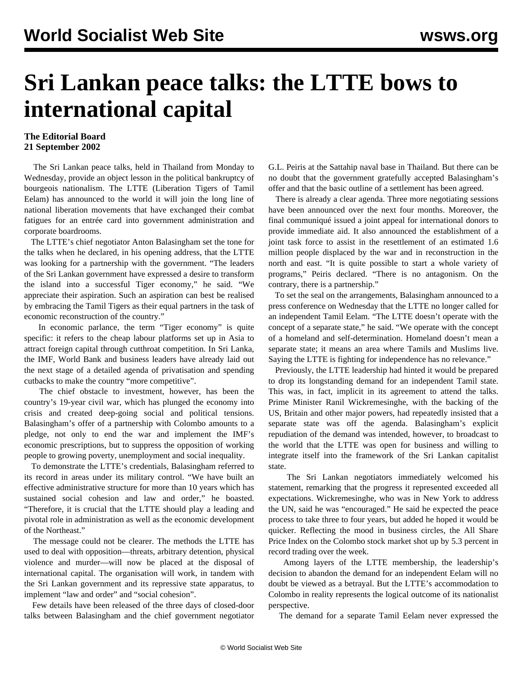## **Sri Lankan peace talks: the LTTE bows to international capital**

## **The Editorial Board 21 September 2002**

 The Sri Lankan peace talks, held in Thailand from Monday to Wednesday, provide an object lesson in the political bankruptcy of bourgeois nationalism. The LTTE (Liberation Tigers of Tamil Eelam) has announced to the world it will join the long line of national liberation movements that have exchanged their combat fatigues for an entrée card into government administration and corporate boardrooms.

 The LTTE's chief negotiator Anton Balasingham set the tone for the talks when he declared, in his opening address, that the LTTE was looking for a partnership with the government. "The leaders of the Sri Lankan government have expressed a desire to transform the island into a successful Tiger economy," he said. "We appreciate their aspiration. Such an aspiration can best be realised by embracing the Tamil Tigers as their equal partners in the task of economic reconstruction of the country."

 In economic parlance, the term "Tiger economy" is quite specific: it refers to the cheap labour platforms set up in Asia to attract foreign capital through cutthroat competition. In Sri Lanka, the IMF, World Bank and business leaders have already laid out the next stage of a detailed agenda of privatisation and spending cutbacks to make the country "more competitive".

 The chief obstacle to investment, however, has been the country's 19-year civil war, which has plunged the economy into crisis and created deep-going social and political tensions. Balasingham's offer of a partnership with Colombo amounts to a pledge, not only to end the war and implement the IMF's economic prescriptions, but to suppress the opposition of working people to growing poverty, unemployment and social inequality.

 To demonstrate the LTTE's credentials, Balasingham referred to its record in areas under its military control. "We have built an effective administrative structure for more than 10 years which has sustained social cohesion and law and order," he boasted. "Therefore, it is crucial that the LTTE should play a leading and pivotal role in administration as well as the economic development of the Northeast."

 The message could not be clearer. The methods the LTTE has used to deal with opposition—threats, arbitrary detention, physical violence and murder—will now be placed at the disposal of international capital. The organisation will work, in tandem with the Sri Lankan government and its repressive state apparatus, to implement "law and order" and "social cohesion".

 Few details have been released of the three days of closed-door talks between Balasingham and the chief government negotiator G.L. Peiris at the Sattahip naval base in Thailand. But there can be no doubt that the government gratefully accepted Balasingham's offer and that the basic outline of a settlement has been agreed.

 There is already a clear agenda. Three more negotiating sessions have been announced over the next four months. Moreover, the final communiqué issued a joint appeal for international donors to provide immediate aid. It also announced the establishment of a joint task force to assist in the resettlement of an estimated 1.6 million people displaced by the war and in reconstruction in the north and east. "It is quite possible to start a whole variety of programs," Peiris declared. "There is no antagonism. On the contrary, there is a partnership."

 To set the seal on the arrangements, Balasingham announced to a press conference on Wednesday that the LTTE no longer called for an independent Tamil Eelam. "The LTTE doesn't operate with the concept of a separate state," he said. "We operate with the concept of a homeland and self-determination. Homeland doesn't mean a separate state; it means an area where Tamils and Muslims live. Saying the LTTE is fighting for independence has no relevance."

 Previously, the LTTE leadership had hinted it would be prepared to drop its longstanding demand for an independent Tamil state. This was, in fact, implicit in its agreement to attend the talks. Prime Minister Ranil Wickremesinghe, with the backing of the US, Britain and other major powers, had repeatedly insisted that a separate state was off the agenda. Balasingham's explicit repudiation of the demand was intended, however, to broadcast to the world that the LTTE was open for business and willing to integrate itself into the framework of the Sri Lankan capitalist state.

 The Sri Lankan negotiators immediately welcomed his statement, remarking that the progress it represented exceeded all expectations. Wickremesinghe, who was in New York to address the UN, said he was "encouraged." He said he expected the peace process to take three to four years, but added he hoped it would be quicker. Reflecting the mood in business circles, the All Share Price Index on the Colombo stock market shot up by 5.3 percent in record trading over the week.

 Among layers of the LTTE membership, the leadership's decision to abandon the demand for an independent Eelam will no doubt be viewed as a betrayal. But the LTTE's accommodation to Colombo in reality represents the logical outcome of its nationalist perspective.

The demand for a separate Tamil Eelam never expressed the